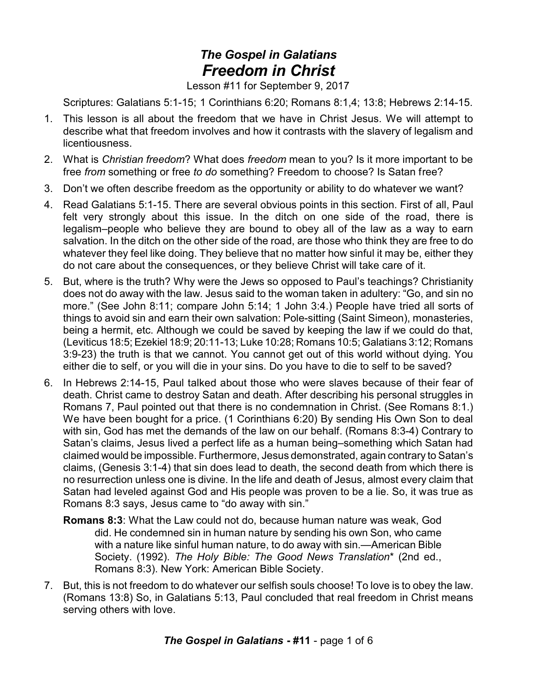## *The Gospel in Galatians Freedom in Christ*

Lesson #11 for September 9, 2017

Scriptures: Galatians 5:1-15; 1 Corinthians 6:20; Romans 8:1,4; 13:8; Hebrews 2:14-15.

- 1. This lesson is all about the freedom that we have in Christ Jesus. We will attempt to describe what that freedom involves and how it contrasts with the slavery of legalism and licentiousness.
- 2. What is *Christian freedom*? What does *freedom* mean to you? Is it more important to be free *from* something or free *to do* something? Freedom to choose? Is Satan free?
- 3. Don't we often describe freedom as the opportunity or ability to do whatever we want?
- 4. Read Galatians 5:1-15. There are several obvious points in this section. First of all, Paul felt very strongly about this issue. In the ditch on one side of the road, there is legalism–people who believe they are bound to obey all of the law as a way to earn salvation. In the ditch on the other side of the road, are those who think they are free to do whatever they feel like doing. They believe that no matter how sinful it may be, either they do not care about the consequences, or they believe Christ will take care of it.
- 5. But, where is the truth? Why were the Jews so opposed to Paul's teachings? Christianity does not do away with the law. Jesus said to the woman taken in adultery: "Go, and sin no more." (See John 8:11; compare John 5:14; 1 John 3:4.) People have tried all sorts of things to avoid sin and earn their own salvation: Pole-sitting (Saint Simeon), monasteries, being a hermit, etc. Although we could be saved by keeping the law if we could do that, (Leviticus 18:5; Ezekiel 18:9; 20:11-13; Luke 10:28; Romans 10:5; Galatians 3:12; Romans 3:9-23) the truth is that we cannot. You cannot get out of this world without dying. You either die to self, or you will die in your sins. Do you have to die to self to be saved?
- 6. In Hebrews 2:14-15, Paul talked about those who were slaves because of their fear of death. Christ came to destroy Satan and death. After describing his personal struggles in Romans 7, Paul pointed out that there is no condemnation in Christ. (See Romans 8:1.) We have been bought for a price. (1 Corinthians 6:20) By sending His Own Son to deal with sin, God has met the demands of the law on our behalf. (Romans 8:3-4) Contrary to Satan's claims, Jesus lived a perfect life as a human being–something which Satan had claimed would be impossible. Furthermore, Jesus demonstrated, again contrary to Satan's claims, (Genesis 3:1-4) that sin does lead to death, the second death from which there is no resurrection unless one is divine. In the life and death of Jesus, almost every claim that Satan had leveled against God and His people was proven to be a lie. So, it was true as Romans 8:3 says, Jesus came to "do away with sin."
	- **Romans 8:3**: What the Law could not do, because human nature was weak, God did. He condemned sin in human nature by sending his own Son, who came with a nature like sinful human nature, to do away with sin.—American Bible Society. (1992). *The Holy Bible: The Good News Translation*\* (2nd ed., Romans 8:3). New York: American Bible Society.
- 7. But, this is not freedom to do whatever our selfish souls choose! To love is to obey the law. (Romans 13:8) So, in Galatians 5:13, Paul concluded that real freedom in Christ means serving others with love.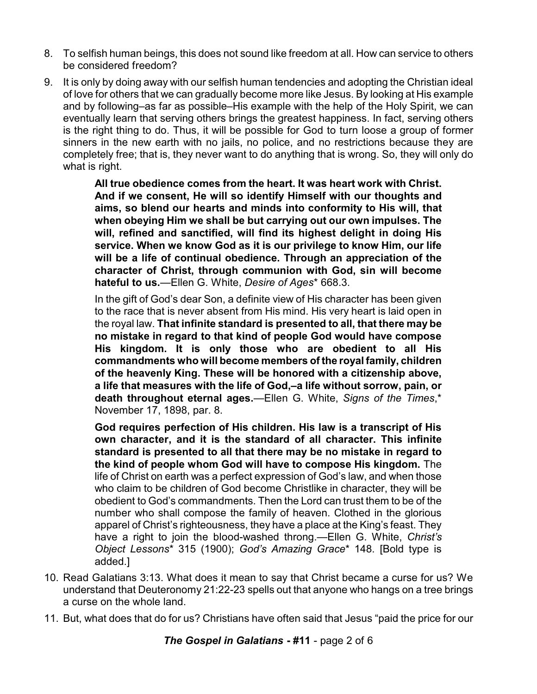- 8. To selfish human beings, this does not sound like freedom at all. How can service to others be considered freedom?
- 9. It is only by doing away with our selfish human tendencies and adopting the Christian ideal of love for others that we can gradually become more like Jesus. By looking at His example and by following–as far as possible–His example with the help of the Holy Spirit, we can eventually learn that serving others brings the greatest happiness. In fact, serving others is the right thing to do. Thus, it will be possible for God to turn loose a group of former sinners in the new earth with no jails, no police, and no restrictions because they are completely free; that is, they never want to do anything that is wrong. So, they will only do what is right.

**All true obedience comes from the heart. It was heart work with Christ. And if we consent, He will so identify Himself with our thoughts and aims, so blend our hearts and minds into conformity to His will, that when obeying Him we shall be but carrying out our own impulses. The will, refined and sanctified, will find its highest delight in doing His service. When we know God as it is our privilege to know Him, our life will be a life of continual obedience. Through an appreciation of the character of Christ, through communion with God, sin will become hateful to us.**—Ellen G. White, *Desire of Ages*\* 668.3.

In the gift of God's dear Son, a definite view of His character has been given to the race that is never absent from His mind. His very heart is laid open in the royal law. **That infinite standard is presented to all, that there may be no mistake in regard to that kind of people God would have compose His kingdom. It is only those who are obedient to all His commandments who will become members of the royal family, children of the heavenly King. These will be honored with a citizenship above, a life that measures with the life of God,–a life without sorrow, pain, or death throughout eternal ages.**—Ellen G. White, *Signs of the Times*,\* November 17, 1898, par. 8.

**God requires perfection of His children. His law is a transcript of His own character, and it is the standard of all character. This infinite standard is presented to all that there may be no mistake in regard to the kind of people whom God will have to compose His kingdom.** The life of Christ on earth was a perfect expression of God's law, and when those who claim to be children of God become Christlike in character, they will be obedient to God's commandments. Then the Lord can trust them to be of the number who shall compose the family of heaven. Clothed in the glorious apparel of Christ's righteousness, they have a place at the King's feast. They have a right to join the blood-washed throng.—Ellen G. White, *Christ's Object Lessons*\* 315 (1900); *God's Amazing Grace*\* 148. [Bold type is added.]

- 10. Read Galatians 3:13. What does it mean to say that Christ became a curse for us? We understand that Deuteronomy 21:22-23 spells out that anyone who hangs on a tree brings a curse on the whole land.
- 11. But, what does that do for us? Christians have often said that Jesus "paid the price for our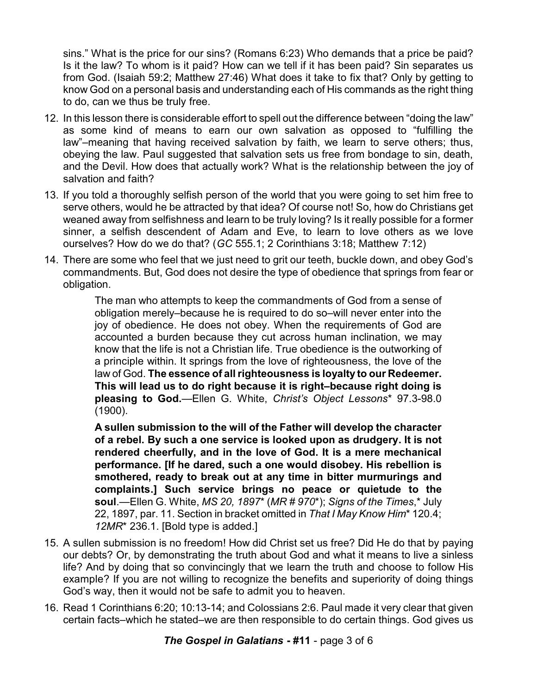sins." What is the price for our sins? (Romans 6:23) Who demands that a price be paid? Is it the law? To whom is it paid? How can we tell if it has been paid? Sin separates us from God. (Isaiah 59:2; Matthew 27:46) What does it take to fix that? Only by getting to know God on a personal basis and understanding each of His commands as the right thing to do, can we thus be truly free.

- 12. In this lesson there is considerable effort to spell out the difference between "doing the law" as some kind of means to earn our own salvation as opposed to "fulfilling the law"–meaning that having received salvation by faith, we learn to serve others; thus, obeying the law. Paul suggested that salvation sets us free from bondage to sin, death, and the Devil. How does that actually work? What is the relationship between the joy of salvation and faith?
- 13. If you told a thoroughly selfish person of the world that you were going to set him free to serve others, would he be attracted by that idea? Of course not! So, how do Christians get weaned away from selfishness and learn to be truly loving? Is it really possible for a former sinner, a selfish descendent of Adam and Eve, to learn to love others as we love ourselves? How do we do that? (*GC* 555.1; 2 Corinthians 3:18; Matthew 7:12)
- 14. There are some who feel that we just need to grit our teeth, buckle down, and obey God's commandments. But, God does not desire the type of obedience that springs from fear or obligation.

The man who attempts to keep the commandments of God from a sense of obligation merely–because he is required to do so–will never enter into the joy of obedience. He does not obey. When the requirements of God are accounted a burden because they cut across human inclination, we may know that the life is not a Christian life. True obedience is the outworking of a principle within. It springs from the love of righteousness, the love of the law of God. **The essence of all righteousness is loyalty to our Redeemer. This will lead us to do right because it is right–because right doing is pleasing to God.**—Ellen G. White, *Christ's Object Lessons*\* 97.3-98.0 (1900).

**A sullen submission to the will of the Father will develop the character of a rebel. By such a one service is looked upon as drudgery. It is not rendered cheerfully, and in the love of God. It is a mere mechanical performance. [If he dared, such a one would disobey. His rebellion is smothered, ready to break out at any time in bitter murmurings and complaints.] Such service brings no peace or quietude to the soul**.—Ellen G. White, *MS 20, 1897*\* (*MR # 970*\*); *Signs of the Times*,\* July 22, 1897, par. 11. Section in bracket omitted in *That I May Know Him*\* 120.4; *12MR*\* 236.1. [Bold type is added.]

- 15. A sullen submission is no freedom! How did Christ set us free? Did He do that by paying our debts? Or, by demonstrating the truth about God and what it means to live a sinless life? And by doing that so convincingly that we learn the truth and choose to follow His example? If you are not willing to recognize the benefits and superiority of doing things God's way, then it would not be safe to admit you to heaven.
- 16. Read 1 Corinthians 6:20; 10:13-14; and Colossians 2:6. Paul made it very clear that given certain facts–which he stated–we are then responsible to do certain things. God gives us

*The Gospel in Galatians* **- #11** - page 3 of 6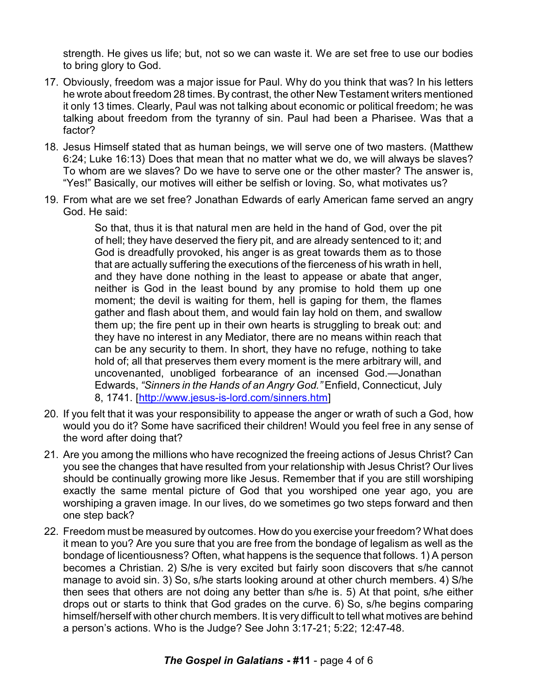strength. He gives us life; but, not so we can waste it. We are set free to use our bodies to bring glory to God.

- 17. Obviously, freedom was a major issue for Paul. Why do you think that was? In his letters he wrote about freedom 28 times. By contrast, the other New Testament writers mentioned it only 13 times. Clearly, Paul was not talking about economic or political freedom; he was talking about freedom from the tyranny of sin. Paul had been a Pharisee. Was that a factor?
- 18. Jesus Himself stated that as human beings, we will serve one of two masters. (Matthew 6:24; Luke 16:13) Does that mean that no matter what we do, we will always be slaves? To whom are we slaves? Do we have to serve one or the other master? The answer is, "Yes!" Basically, our motives will either be selfish or loving. So, what motivates us?
- 19. From what are we set free? Jonathan Edwards of early American fame served an angry God. He said:

So that, thus it is that natural men are held in the hand of God, over the pit of hell; they have deserved the fiery pit, and are already sentenced to it; and God is dreadfully provoked, his anger is as great towards them as to those that are actually suffering the executions of the fierceness of his wrath in hell, and they have done nothing in the least to appease or abate that anger, neither is God in the least bound by any promise to hold them up one moment; the devil is waiting for them, hell is gaping for them, the flames gather and flash about them, and would fain lay hold on them, and swallow them up; the fire pent up in their own hearts is struggling to break out: and they have no interest in any Mediator, there are no means within reach that can be any security to them. In short, they have no refuge, nothing to take hold of; all that preserves them every moment is the mere arbitrary will, and uncovenanted, unobliged forbearance of an incensed God.—Jonathan Edwards, *"Sinners in the Hands of an Angry God."* Enfield, Connecticut, July 8, 1741. [\[http://www.jesus-is-lord.com/sinners.htm](http://www.jesus-is-lord.com/sinners.htm)]

- 20. If you felt that it was your responsibility to appease the anger or wrath of such a God, how would you do it? Some have sacrificed their children! Would you feel free in any sense of the word after doing that?
- 21. Are you among the millions who have recognized the freeing actions of Jesus Christ? Can you see the changes that have resulted from your relationship with Jesus Christ? Our lives should be continually growing more like Jesus. Remember that if you are still worshiping exactly the same mental picture of God that you worshiped one year ago, you are worshiping a graven image. In our lives, do we sometimes go two steps forward and then one step back?
- 22. Freedom must be measured by outcomes. How do you exercise your freedom? What does it mean to you? Are you sure that you are free from the bondage of legalism as well as the bondage of licentiousness? Often, what happens is the sequence that follows. 1) A person becomes a Christian. 2) S/he is very excited but fairly soon discovers that s/he cannot manage to avoid sin. 3) So, s/he starts looking around at other church members. 4) S/he then sees that others are not doing any better than s/he is. 5) At that point, s/he either drops out or starts to think that God grades on the curve. 6) So, s/he begins comparing himself/herself with other church members. It is very difficult to tell what motives are behind a person's actions. Who is the Judge? See John 3:17-21; 5:22; 12:47-48.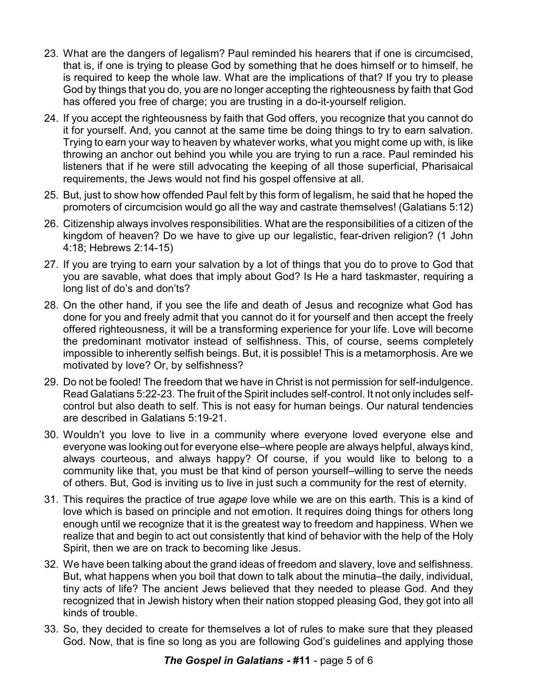- 23. What are the dangers of legalism? Paul reminded his hearers that if one is circumcised, that is, if one is trying to please God by something that he does himself or to himself, he is required to keep the whole law. What are the implications of that? If you try to please God by things that you do, you are no longer accepting the righteousness by faith that God has offered you free of charge; you are trusting in a do-it-yourself religion.
- 24. If you accept the righteousness by faith that God offers, you recognize that you cannot do it for yourself. And, you cannot at the same time be doing things to try to earn salvation. Trying to earn your way to heaven by whatever works, what you might come up with, is like throwing an anchor out behind you while you are trying to run a race. Paul reminded his listeners that if he were still advocating the keeping of all those superficial, Pharisaical requirements, the Jews would not find his gospel offensive at all.
- 25. But, just to show how offended Paul felt by this form of legalism, he said that he hoped the promoters of circumcision would go all the way and castrate themselves! (Galatians 5:12)
- 26. Citizenship always involves responsibilities. What are the responsibilities of a citizen of the kingdom of heaven? Do we have to give up our legalistic, fear-driven religion? (1 John 4:18; Hebrews 2:14-15)
- 27. If you are trying to earn your salvation by a lot of things that you do to prove to God that you are savable, what does that imply about God? Is He a hard taskmaster, requiring a long list of do's and don'ts?
- 28. On the other hand, if you see the life and death of Jesus and recognize what God has done for you and freely admit that you cannot do it for yourself and then accept the freely offered righteousness, it will be a transforming experience for your life. Love will become the predominant motivator instead of selfishness. This, of course, seems completely impossible to inherently selfish beings. But, it is possible! This is a metamorphosis. Are we motivated by love? Or, by selfishness?
- 29. Do not be fooled! The freedom that we have in Christ is not permission for self-indulgence. Read Galatians 5:22-23. The fruit of the Spirit includes self-control. It not only includes selfcontrol but also death to self. This is not easy for human beings. Our natural tendencies are described in Galatians 5:19-21.
- 30. Wouldn't you love to live in a community where everyone loved everyone else and everyone was looking out for everyone else–where people are always helpful, always kind, always courteous, and always happy? Of course, if you would like to belong to a community like that, you must be that kind of person yourself–willing to serve the needs of others. But, God is inviting us to live in just such a community for the rest of eternity.
- 31. This requires the practice of true *agape* love while we are on this earth. This is a kind of love which is based on principle and not emotion. It requires doing things for others long enough until we recognize that it is the greatest way to freedom and happiness. When we realize that and begin to act out consistently that kind of behavior with the help of the Holy Spirit, then we are on track to becoming like Jesus.
- 32. We have been talking about the grand ideas of freedom and slavery, love and selfishness. But, what happens when you boil that down to talk about the minutia–the daily, individual, tiny acts of life? The ancient Jews believed that they needed to please God. And they recognized that in Jewish history when their nation stopped pleasing God, they got into all kinds of trouble.
- 33. So, they decided to create for themselves a lot of rules to make sure that they pleased God. Now, that is fine so long as you are following God's guidelines and applying those